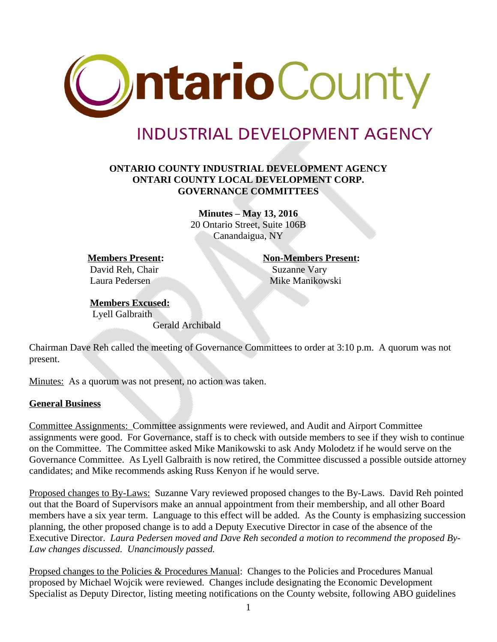

## **INDUSTRIAL DEVELOPMENT AGENCY**

## **ONTARIO COUNTY INDUSTRIAL DEVELOPMENT AGENCY ONTARI COUNTY LOCAL DEVELOPMENT CORP. GOVERNANCE COMMITTEES**

**Minutes – May 13, 2016** 20 Ontario Street, Suite 106B Canandaigua, NY

David Reh, Chair Suzanne Vary

**Members Present: Non-Members Present:** Laura Pedersen Mike Manikowski

## **Members Excused:** Lyell Galbraith Gerald Archibald

Chairman Dave Reh called the meeting of Governance Committees to order at 3:10 p.m. A quorum was not present.

Minutes: As a quorum was not present, no action was taken.

## **General Business**

Committee Assignments: Committee assignments were reviewed, and Audit and Airport Committee assignments were good. For Governance, staff is to check with outside members to see if they wish to continue on the Committee. The Committee asked Mike Manikowski to ask Andy Molodetz if he would serve on the Governance Committee. As Lyell Galbraith is now retired, the Committee discussed a possible outside attorney candidates; and Mike recommends asking Russ Kenyon if he would serve.

Proposed changes to By-Laws: Suzanne Vary reviewed proposed changes to the By-Laws. David Reh pointed out that the Board of Supervisors make an annual appointment from their membership, and all other Board members have a six year term. Language to this effect will be added. As the County is emphasizing succession planning, the other proposed change is to add a Deputy Executive Director in case of the absence of the Executive Director. *Laura Pedersen moved and Dave Reh seconded a motion to recommend the proposed By-Law changes discussed. Unancimously passed.*

Propsed changes to the Policies & Procedures Manual: Changes to the Policies and Procedures Manual proposed by Michael Wojcik were reviewed. Changes include designating the Economic Development Specialist as Deputy Director, listing meeting notifications on the County website, following ABO guidelines